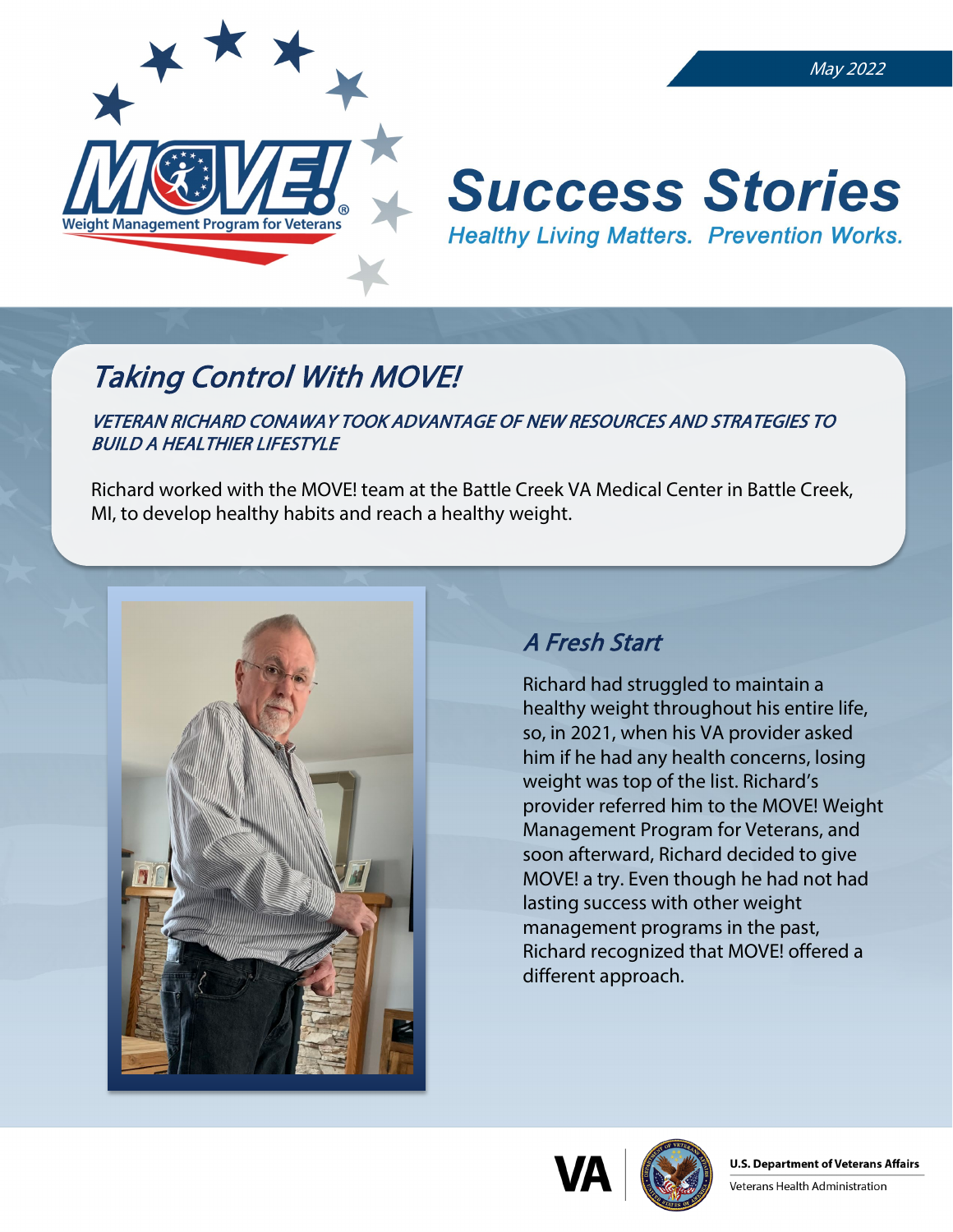

#### May 2022

# **Success Stories Healthy Living Matters. Prevention Works.**

# Taking Control With MOVE!

### VETERAN RICHARD CONAWAY TOOK ADVANTAGE OF NEW RESOURCES AND STRATEGIES TO BUILD A HEALTHIER LIFESTYLE

Richard worked with the MOVE! team at the Battle Creek VA Medical Center in Battle Creek, MI, to develop healthy habits and reach a healthy weight.



# A Fresh Start

Richard had struggled to maintain a healthy weight throughout his entire life, so, in 2021, when his VA provider asked him if he had any health concerns, losing weight was top of the list. Richard's provider referred him to the MOVE! Weight Management Program for Veterans, and soon afterward, Richard decided to give MOVE! a try. Even though he had not had lasting success with other weight management programs in the past, Richard recognized that MOVE! offered a different approach.



Veterans Health Administration